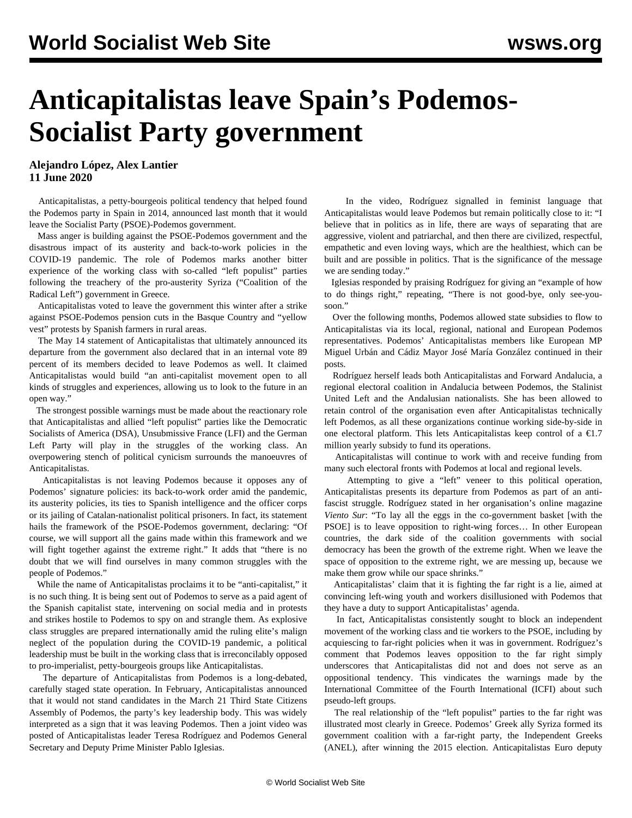# **Anticapitalistas leave Spain's Podemos-Socialist Party government**

**Alejandro López, Alex Lantier 11 June 2020**

 Anticapitalistas, a petty-bourgeois political tendency that helped found the Podemos party in Spain in 2014, announced last month that it would leave the Socialist Party (PSOE)-Podemos government.

 Mass anger is building against the PSOE-Podemos government and the disastrous impact of its austerity and back-to-work policies in the COVID-19 pandemic. The role of Podemos marks another bitter experience of the working class with so-called "left populist" parties following the treachery of the pro-austerity Syriza ("Coalition of the Radical Left") government in Greece.

 Anticapitalistas voted to leave the government this winter after a strike against PSOE-Podemos pension cuts in the Basque Country and "yellow vest" protests by Spanish farmers in rural areas.

 The May 14 statement of Anticapitalistas that ultimately announced its departure from the government also declared that in an internal vote 89 percent of its members decided to leave Podemos as well. It claimed Anticapitalistas would build "an anti-capitalist movement open to all kinds of struggles and experiences, allowing us to look to the future in an open way."

 The strongest possible warnings must be made about the reactionary role that Anticapitalistas and allied "left populist" parties like the Democratic Socialists of America (DSA), Unsubmissive France (LFI) and the German Left Party will play in the struggles of the working class. An overpowering stench of political cynicism surrounds the manoeuvres of Anticapitalistas.

 Anticapitalistas is not leaving Podemos because it opposes any of Podemos' signature policies: its back-to-work order amid the pandemic, its austerity policies, its ties to Spanish intelligence and the officer corps or its jailing of Catalan-nationalist political prisoners. In fact, its statement hails the framework of the PSOE-Podemos government, declaring: "Of course, we will support all the gains made within this framework and we will fight together against the extreme right." It adds that "there is no doubt that we will find ourselves in many common struggles with the people of Podemos."

 While the name of Anticapitalistas proclaims it to be "anti-capitalist," it is no such thing. It is being sent out of Podemos to serve as a paid agent of the Spanish capitalist state, intervening on social media and in protests and strikes hostile to Podemos to spy on and strangle them. As explosive class struggles are prepared internationally amid the ruling elite's malign neglect of the population during the COVID-19 pandemic, a political leadership must be built in the working class that is irreconcilably opposed to pro-imperialist, petty-bourgeois groups like Anticapitalistas.

 The departure of Anticapitalistas from Podemos is a long-debated, carefully staged state operation. In February, Anticapitalistas announced that it would not stand candidates in the March 21 Third State Citizens Assembly of Podemos, the party's key leadership body. This was widely interpreted as a sign that it was leaving Podemos. Then a joint video was posted of Anticapitalistas leader Teresa Rodríguez and Podemos General Secretary and Deputy Prime Minister Pablo Iglesias.

 In the video, Rodríguez signalled in feminist language that Anticapitalistas would leave Podemos but remain politically close to it: "I believe that in politics as in life, there are ways of separating that are aggressive, violent and patriarchal, and then there are civilized, respectful, empathetic and even loving ways, which are the healthiest, which can be built and are possible in politics. That is the significance of the message we are sending today."

 Iglesias responded by praising Rodríguez for giving an "example of how to do things right," repeating, "There is not good-bye, only see-yousoon."

 Over the following months, Podemos allowed state subsidies to flow to Anticapitalistas via its local, regional, national and European Podemos representatives. Podemos' Anticapitalistas members like European MP Miguel Urbán and Cádiz Mayor José María González continued in their posts.

 Rodríguez herself leads both Anticapitalistas and Forward Andalucia, a regional electoral coalition in Andalucia between Podemos, the Stalinist United Left and the Andalusian nationalists. She has been allowed to retain control of the organisation even after Anticapitalistas technically left Podemos, as all these organizations continue working side-by-side in one electoral platform. This lets Anticapitalistas keep control of a  $\epsilon$ 1.7 million yearly subsidy to fund its operations.

 Anticapitalistas will continue to work with and receive funding from many such electoral fronts with Podemos at local and regional levels.

 Attempting to give a "left" veneer to this political operation, Anticapitalistas presents its departure from Podemos as part of an antifascist struggle. Rodríguez stated in her organisation's online magazine *Viento Sur*: "To lay all the eggs in the co-government basket [with the PSOE] is to leave opposition to right-wing forces… In other European countries, the dark side of the coalition governments with social democracy has been the growth of the extreme right. When we leave the space of opposition to the extreme right, we are messing up, because we make them grow while our space shrinks."

 Anticapitalistas' claim that it is fighting the far right is a lie, aimed at convincing left-wing youth and workers disillusioned with Podemos that they have a duty to support Anticapitalistas' agenda.

 In fact, Anticapitalistas consistently sought to block an independent movement of the working class and tie workers to the PSOE, including by acquiescing to far-right policies when it was in government. Rodríguez's comment that Podemos leaves opposition to the far right simply underscores that Anticapitalistas did not and does not serve as an oppositional tendency. This vindicates the warnings made by the International Committee of the Fourth International (ICFI) about such pseudo-left groups.

 The real relationship of the "left populist" parties to the far right was illustrated most clearly in Greece. Podemos' Greek ally Syriza formed its government coalition with a far-right party, the Independent Greeks (ANEL), after winning the 2015 election. Anticapitalistas Euro deputy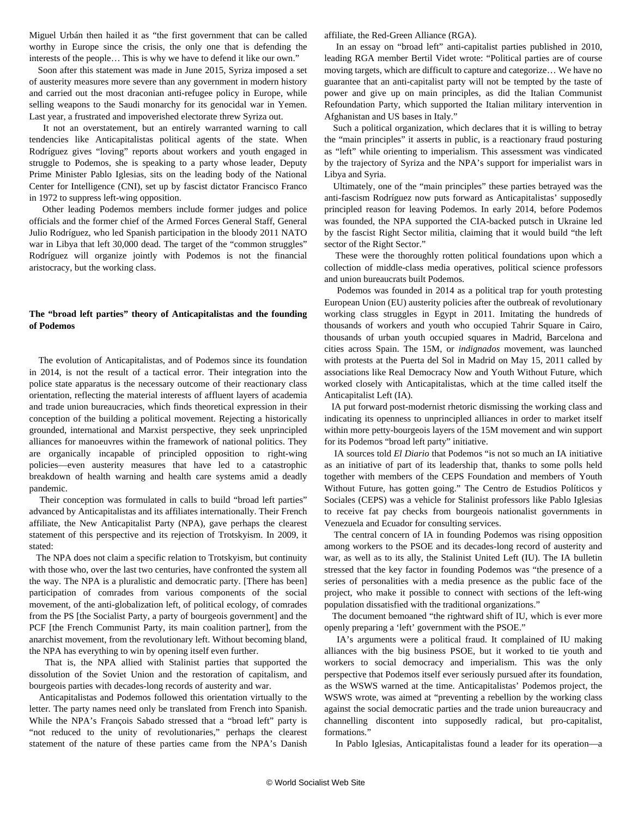Miguel Urbán then hailed it as "the first government that can be called worthy in Europe since the crisis, the only one that is defending the interests of the people… This is why we have to defend it like our own."

 Soon after this statement was made in June 2015, Syriza imposed a set of austerity measures more severe than any government in modern history and carried out the most draconian anti-refugee policy in Europe, while selling weapons to the Saudi monarchy for its genocidal war in Yemen. Last year, a frustrated and impoverished electorate threw Syriza out.

 It not an overstatement, but an entirely warranted warning to call tendencies like Anticapitalistas political agents of the state. When Rodríguez gives "loving" reports about workers and youth engaged in struggle to Podemos, she is speaking to a party whose leader, Deputy Prime Minister Pablo Iglesias, sits on the leading body of the National Center for Intelligence (CNI), set up by fascist dictator Francisco Franco in 1972 to suppress left-wing opposition.

 Other leading Podemos members include former judges and police officials and the former chief of the Armed Forces General Staff, General Julio Rodríguez, who led Spanish participation in the bloody 2011 NATO war in Libya that left 30,000 dead. The target of the "common struggles" Rodríguez will organize jointly with Podemos is not the financial aristocracy, but the working class.

### **The "broad left parties" theory of Anticapitalistas and the founding of Podemos**

 The evolution of Anticapitalistas, and of Podemos since its foundation in 2014, is not the result of a tactical error. Their integration into the police state apparatus is the necessary outcome of their reactionary class orientation, reflecting the material interests of affluent layers of academia and trade union bureaucracies, which finds theoretical expression in their conception of the building a political movement. Rejecting a historically grounded, international and Marxist perspective, they seek unprincipled alliances for manoeuvres within the framework of national politics. They are organically incapable of principled opposition to right-wing policies—even austerity measures that have led to a catastrophic breakdown of health warning and health care systems amid a deadly pandemic.

 Their conception was formulated in calls to build "broad left parties" advanced by Anticapitalistas and its affiliates internationally. Their French affiliate, the New Anticapitalist Party (NPA), gave perhaps the clearest statement of this perspective and its rejection of Trotskyism. In 2009, it stated:

 The NPA does not claim a specific relation to Trotskyism, but continuity with those who, over the last two centuries, have confronted the system all the way. The NPA is a pluralistic and democratic party. [There has been] participation of comrades from various components of the social movement, of the anti-globalization left, of political ecology, of comrades from the PS [the Socialist Party, a party of bourgeois government] and the PCF [the French Communist Party, its main coalition partner], from the anarchist movement, from the revolutionary left. Without becoming bland, the NPA has everything to win by opening itself even further.

 That is, the NPA allied with Stalinist parties that supported the dissolution of the Soviet Union and the restoration of capitalism, and bourgeois parties with decades-long records of austerity and war.

 Anticapitalistas and Podemos followed this orientation virtually to the letter. The party names need only be translated from French into Spanish. While the NPA's François Sabado stressed that a "broad left" party is "not reduced to the unity of revolutionaries," perhaps the clearest statement of the nature of these parties came from the NPA's Danish

affiliate, the Red-Green Alliance (RGA).

 In an essay on "broad left" anti-capitalist parties published in 2010, leading RGA member Bertil Videt wrote: "Political parties are of course moving targets, which are difficult to capture and categorize… We have no guarantee that an anti-capitalist party will not be tempted by the taste of power and give up on main principles, as did the Italian Communist Refoundation Party, which supported the Italian military intervention in Afghanistan and US bases in Italy."

 Such a political organization, which declares that it is willing to betray the "main principles" it asserts in public, is a reactionary fraud posturing as "left" while orienting to imperialism. This assessment was vindicated by the trajectory of Syriza and the NPA's support for imperialist wars in Libya and Syria.

 Ultimately, one of the "main principles" these parties betrayed was the anti-fascism Rodríguez now puts forward as Anticapitalistas' supposedly principled reason for leaving Podemos. In early 2014, before Podemos was founded, the NPA supported the CIA-backed putsch in Ukraine led by the fascist Right Sector militia, claiming that it would build "the left sector of the Right Sector."

 These were the thoroughly rotten political foundations upon which a collection of middle-class media operatives, political science professors and union bureaucrats built Podemos.

 Podemos was founded in 2014 as a political trap for youth protesting European Union (EU) austerity policies after the outbreak of revolutionary working class struggles in Egypt in 2011. Imitating the hundreds of thousands of workers and youth who occupied Tahrir Square in Cairo, thousands of urban youth occupied squares in Madrid, Barcelona and cities across Spain. The 15M, or *indignados* movement, was launched with protests at the Puerta del Sol in Madrid on May 15, 2011 called by associations like Real Democracy Now and Youth Without Future, which worked closely with Anticapitalistas, which at the time called itself the Anticapitalist Left (IA).

 IA put forward post-modernist rhetoric dismissing the working class and indicating its openness to unprincipled alliances in order to market itself within more petty-bourgeois layers of the 15M movement and win support for its Podemos "broad left party" initiative.

 IA sources told *El Diario* that Podemos "is not so much an IA initiative as an initiative of part of its leadership that, thanks to some polls held together with members of the CEPS Foundation and members of Youth Without Future, has gotten going." The Centro de Estudios Políticos y Sociales (CEPS) was a vehicle for Stalinist professors like Pablo Iglesias to receive fat pay checks from bourgeois nationalist governments in Venezuela and Ecuador for consulting services.

 The central concern of IA in founding Podemos was rising opposition among workers to the PSOE and its decades-long record of austerity and war, as well as to its ally, the Stalinist United Left (IU). The IA bulletin stressed that the key factor in founding Podemos was "the presence of a series of personalities with a media presence as the public face of the project, who make it possible to connect with sections of the left-wing population dissatisfied with the traditional organizations."

 The document bemoaned "the rightward shift of IU, which is ever more openly preparing a 'left' government with the PSOE."

 IA's arguments were a political fraud. It complained of IU making alliances with the big business PSOE, but it worked to tie youth and workers to social democracy and imperialism. This was the only perspective that Podemos itself ever seriously pursued after its foundation, as the WSWS warned at the time. Anticapitalistas' Podemos project, the WSWS wrote, was aimed at "preventing a rebellion by the working class against the social democratic parties and the trade union bureaucracy and channelling discontent into supposedly radical, but pro-capitalist, formations."

In Pablo Iglesias, Anticapitalistas found a leader for its operation—a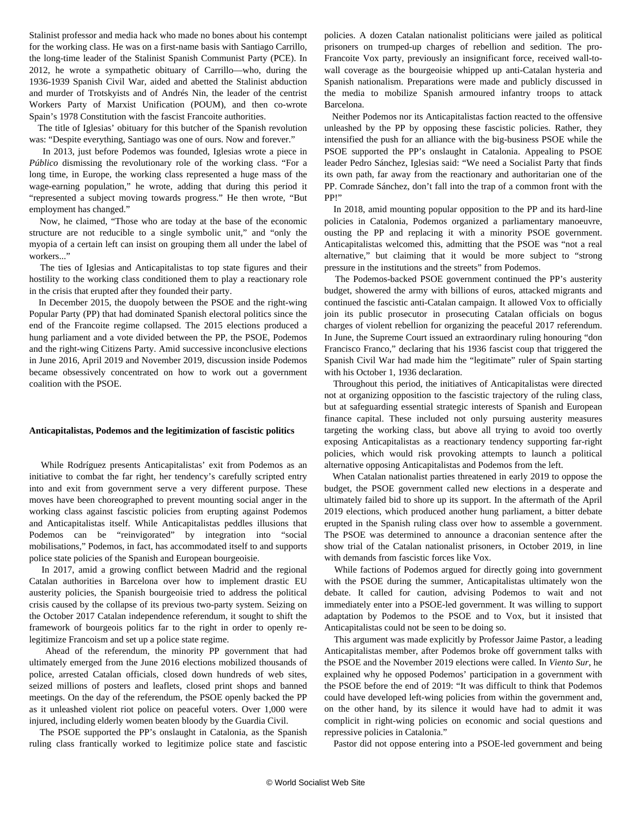Stalinist professor and media hack who made no bones about his contempt for the working class. He was on a first-name basis with Santiago Carrillo, the long-time leader of the Stalinist Spanish Communist Party (PCE). In 2012, he wrote a sympathetic obituary of Carrillo—who, during the 1936-1939 Spanish Civil War, aided and abetted the Stalinist abduction and murder of Trotskyists and of Andrés Nin, the leader of the centrist Workers Party of Marxist Unification (POUM), and then co-wrote Spain's 1978 Constitution with the fascist Francoite authorities.

 The title of Iglesias' obituary for this butcher of the Spanish revolution was: "Despite everything, Santiago was one of ours. Now and forever."

 In 2013, just before Podemos was founded, Iglesias wrote a piece in *Público* dismissing the revolutionary role of the working class. "For a long time, in Europe, the working class represented a huge mass of the wage-earning population," he wrote, adding that during this period it "represented a subject moving towards progress." He then wrote, "But employment has changed."

 Now, he claimed, "Those who are today at the base of the economic structure are not reducible to a single symbolic unit," and "only the myopia of a certain left can insist on grouping them all under the label of workers..."

 The ties of Iglesias and Anticapitalistas to top state figures and their hostility to the working class conditioned them to play a reactionary role in the crisis that erupted after they founded their party.

 In December 2015, the duopoly between the PSOE and the right-wing Popular Party (PP) that had dominated Spanish electoral politics since the end of the Francoite regime collapsed. The 2015 elections produced a hung parliament and a vote divided between the PP, the PSOE, Podemos and the right-wing Citizens Party. Amid successive inconclusive elections in June 2016, April 2019 and November 2019, discussion inside Podemos became obsessively concentrated on how to work out a government coalition with the PSOE.

#### **Anticapitalistas, Podemos and the legitimization of fascistic politics**

 While Rodríguez presents Anticapitalistas' exit from Podemos as an initiative to combat the far right, her tendency's carefully scripted entry into and exit from government serve a very different purpose. These moves have been choreographed to prevent mounting social anger in the working class against fascistic policies from erupting against Podemos and Anticapitalistas itself. While Anticapitalistas peddles illusions that Podemos can be "reinvigorated" by integration into "social mobilisations," Podemos, in fact, has accommodated itself to and supports police state policies of the Spanish and European bourgeoisie.

 In 2017, amid a growing conflict between Madrid and the regional Catalan authorities in Barcelona over how to implement drastic EU austerity policies, the Spanish bourgeoisie tried to address the political crisis caused by the collapse of its previous two-party system. Seizing on the October 2017 Catalan independence referendum, it sought to shift the framework of bourgeois politics far to the right in order to openly relegitimize Francoism and set up a police state regime.

 Ahead of the referendum, the minority PP government that had ultimately emerged from the June 2016 elections mobilized thousands of police, arrested Catalan officials, closed down hundreds of web sites, seized millions of posters and leaflets, closed print shops and banned meetings. On the day of the referendum, the PSOE openly backed the PP as it unleashed violent riot police on peaceful voters. Over 1,000 were injured, including elderly women beaten bloody by the Guardia Civil.

 The PSOE supported the PP's onslaught in Catalonia, as the Spanish ruling class frantically worked to legitimize police state and fascistic

policies. A dozen Catalan nationalist politicians were jailed as political prisoners on trumped-up charges of rebellion and sedition. The pro-Francoite Vox party, previously an insignificant force, received wall-towall coverage as the bourgeoisie whipped up anti-Catalan hysteria and Spanish nationalism. Preparations were made and publicly discussed in the media to mobilize Spanish armoured infantry troops to attack Barcelona.

 Neither Podemos nor its Anticapitalistas faction reacted to the offensive unleashed by the PP by opposing these fascistic policies. Rather, they intensified the push for an alliance with the big-business PSOE while the PSOE supported the PP's onslaught in Catalonia. Appealing to PSOE leader Pedro Sánchez, Iglesias said: "We need a Socialist Party that finds its own path, far away from the reactionary and authoritarian one of the PP. Comrade Sánchez, don't fall into the trap of a common front with the PP!"

 In 2018, amid mounting popular opposition to the PP and its hard-line policies in Catalonia, Podemos organized a parliamentary manoeuvre, ousting the PP and replacing it with a minority PSOE government. Anticapitalistas welcomed this, admitting that the PSOE was "not a real alternative," but claiming that it would be more subject to "strong pressure in the institutions and the streets" from Podemos.

 The Podemos-backed PSOE government continued the PP's austerity budget, showered the army with billions of euros, attacked migrants and continued the fascistic anti-Catalan campaign. It allowed Vox to officially join its public prosecutor in prosecuting Catalan officials on bogus charges of violent rebellion for organizing the peaceful 2017 referendum. In June, the Supreme Court issued an extraordinary ruling honouring "don Francisco Franco," declaring that his 1936 fascist coup that triggered the Spanish Civil War had made him the "legitimate" ruler of Spain starting with his October 1, 1936 declaration.

 Throughout this period, the initiatives of Anticapitalistas were directed not at organizing opposition to the fascistic trajectory of the ruling class, but at safeguarding essential strategic interests of Spanish and European finance capital. These included not only pursuing austerity measures targeting the working class, but above all trying to avoid too overtly exposing Anticapitalistas as a reactionary tendency supporting far-right policies, which would risk provoking attempts to launch a political alternative opposing Anticapitalistas and Podemos from the left.

 When Catalan nationalist parties threatened in early 2019 to oppose the budget, the PSOE government called new elections in a desperate and ultimately failed bid to shore up its support. In the aftermath of the April 2019 elections, which produced another hung parliament, a bitter debate erupted in the Spanish ruling class over how to assemble a government. The PSOE was determined to announce a draconian sentence after the show trial of the Catalan nationalist prisoners, in October 2019, in line with demands from fascistic forces like Vox.

 While factions of Podemos argued for directly going into government with the PSOE during the summer, Anticapitalistas ultimately won the debate. It called for caution, advising Podemos to wait and not immediately enter into a PSOE-led government. It was willing to support adaptation by Podemos to the PSOE and to Vox, but it insisted that Anticapitalistas could not be seen to be doing so.

 This argument was made explicitly by Professor Jaime Pastor, a leading Anticapitalistas member, after Podemos broke off government talks with the PSOE and the November 2019 elections were called. In *Viento Sur*, he explained why he opposed Podemos' participation in a government with the PSOE before the end of 2019: "It was difficult to think that Podemos could have developed left-wing policies from within the government and, on the other hand, by its silence it would have had to admit it was complicit in right-wing policies on economic and social questions and repressive policies in Catalonia."

Pastor did not oppose entering into a PSOE-led government and being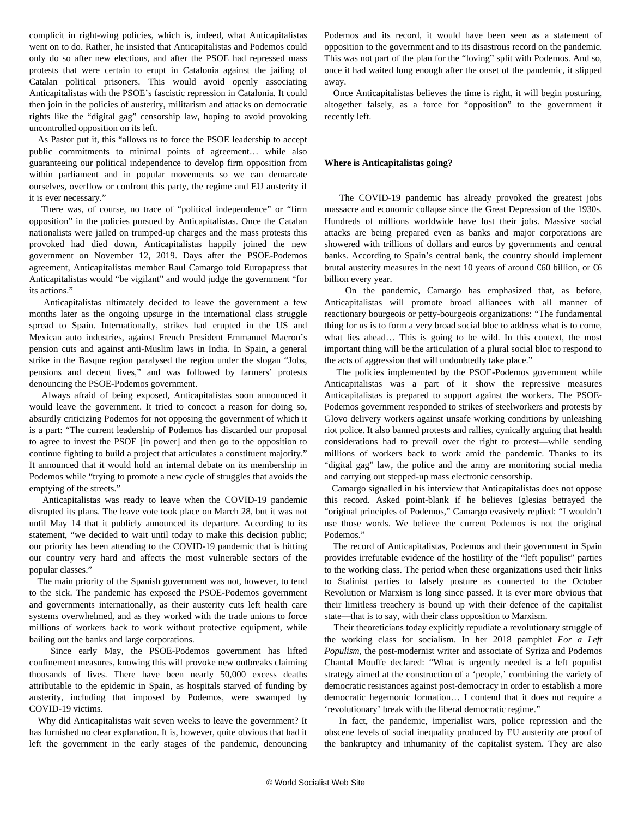complicit in right-wing policies, which is, indeed, what Anticapitalistas went on to do. Rather, he insisted that Anticapitalistas and Podemos could only do so after new elections, and after the PSOE had repressed mass protests that were certain to erupt in Catalonia against the jailing of Catalan political prisoners. This would avoid openly associating Anticapitalistas with the PSOE's fascistic repression in Catalonia. It could then join in the policies of austerity, militarism and attacks on democratic rights like the "digital gag" censorship law, hoping to avoid provoking uncontrolled opposition on its left.

 As Pastor put it, this "allows us to force the PSOE leadership to accept public commitments to minimal points of agreement… while also guaranteeing our political independence to develop firm opposition from within parliament and in popular movements so we can demarcate ourselves, overflow or confront this party, the regime and EU austerity if it is ever necessary."

 There was, of course, no trace of "political independence" or "firm opposition" in the policies pursued by Anticapitalistas. Once the Catalan nationalists were jailed on trumped-up charges and the mass protests this provoked had died down, Anticapitalistas happily joined the new government on November 12, 2019. Days after the PSOE-Podemos agreement, Anticapitalistas member Raul Camargo told Europapress that Anticapitalistas would "be vigilant" and would judge the government "for its actions."

 Anticapitalistas ultimately decided to leave the government a few months later as the ongoing upsurge in the international class struggle spread to Spain. Internationally, strikes had erupted in the US and Mexican auto industries, against French President Emmanuel Macron's pension cuts and against anti-Muslim laws in India. In Spain, a general strike in the Basque region paralysed the region under the slogan "Jobs, pensions and decent lives," and was followed by farmers' protests denouncing the PSOE-Podemos government.

 Always afraid of being exposed, Anticapitalistas soon announced it would leave the government. It tried to concoct a reason for doing so, absurdly criticizing Podemos for not opposing the government of which it is a part: "The current leadership of Podemos has discarded our proposal to agree to invest the PSOE [in power] and then go to the opposition to continue fighting to build a project that articulates a constituent majority." It announced that it would hold an internal debate on its membership in Podemos while "trying to promote a new cycle of struggles that avoids the emptying of the streets."

 Anticapitalistas was ready to leave when the COVID-19 pandemic disrupted its plans. The leave vote took place on March 28, but it was not until May 14 that it publicly announced its departure. According to its statement, "we decided to wait until today to make this decision public; our priority has been attending to the COVID-19 pandemic that is hitting our country very hard and affects the most vulnerable sectors of the popular classes."

 The main priority of the Spanish government was not, however, to tend to the sick. The pandemic has exposed the PSOE-Podemos government and governments internationally, as their austerity cuts left health care systems overwhelmed, and as they worked with the trade unions to force millions of workers back to work without protective equipment, while bailing out the banks and large corporations.

 Since early May, the PSOE-Podemos government has lifted confinement measures, knowing this will provoke new outbreaks claiming thousands of lives. There have been nearly 50,000 excess deaths attributable to the epidemic in Spain, as hospitals starved of funding by austerity, including that imposed by Podemos, were swamped by COVID-19 victims.

 Why did Anticapitalistas wait seven weeks to leave the government? It has furnished no clear explanation. It is, however, quite obvious that had it left the government in the early stages of the pandemic, denouncing Podemos and its record, it would have been seen as a statement of opposition to the government and to its disastrous record on the pandemic. This was not part of the plan for the "loving" split with Podemos. And so, once it had waited long enough after the onset of the pandemic, it slipped away.

 Once Anticapitalistas believes the time is right, it will begin posturing, altogether falsely, as a force for "opposition" to the government it recently left.

#### **Where is Anticapitalistas going?**

 The COVID-19 pandemic has already provoked the greatest jobs massacre and economic collapse since the Great Depression of the 1930s. Hundreds of millions worldwide have lost their jobs. Massive social attacks are being prepared even as banks and major corporations are showered with trillions of dollars and euros by governments and central banks. According to Spain's central bank, the country should implement brutal austerity measures in the next 10 years of around  $€60$  billion, or  $€6$ billion every year.

 On the pandemic, Camargo has emphasized that, as before, Anticapitalistas will promote broad alliances with all manner of reactionary bourgeois or petty-bourgeois organizations: "The fundamental thing for us is to form a very broad social bloc to address what is to come, what lies ahead… This is going to be wild. In this context, the most important thing will be the articulation of a plural social bloc to respond to the acts of aggression that will undoubtedly take place."

 The policies implemented by the PSOE-Podemos government while Anticapitalistas was a part of it show the repressive measures Anticapitalistas is prepared to support against the workers. The PSOE-Podemos government responded to strikes of steelworkers and protests by Glovo delivery workers against unsafe working conditions by unleashing riot police. It also banned protests and rallies, cynically arguing that health considerations had to prevail over the right to protest—while sending millions of workers back to work amid the pandemic. Thanks to its "digital gag" law, the police and the army are monitoring social media and carrying out stepped-up mass electronic censorship.

 Camargo signalled in his interview that Anticapitalistas does not oppose this record. Asked point-blank if he believes Iglesias betrayed the "original principles of Podemos," Camargo evasively replied: "I wouldn't use those words. We believe the current Podemos is not the original Podemos."

 The record of Anticapitalistas, Podemos and their government in Spain provides irrefutable evidence of the hostility of the "left populist" parties to the working class. The period when these organizations used their links to Stalinist parties to falsely posture as connected to the October Revolution or Marxism is long since passed. It is ever more obvious that their limitless treachery is bound up with their defence of the capitalist state—that is to say, with their class opposition to Marxism.

 Their theoreticians today explicitly repudiate a revolutionary struggle of the working class for socialism. In her 2018 pamphlet *For a Left Populism*, the post-modernist writer and associate of Syriza and Podemos Chantal Mouffe declared: "What is urgently needed is a left populist strategy aimed at the construction of a 'people,' combining the variety of democratic resistances against post-democracy in order to establish a more democratic hegemonic formation… I contend that it does not require a 'revolutionary' break with the liberal democratic regime."

 In fact, the pandemic, imperialist wars, police repression and the obscene levels of social inequality produced by EU austerity are proof of the bankruptcy and inhumanity of the capitalist system. They are also